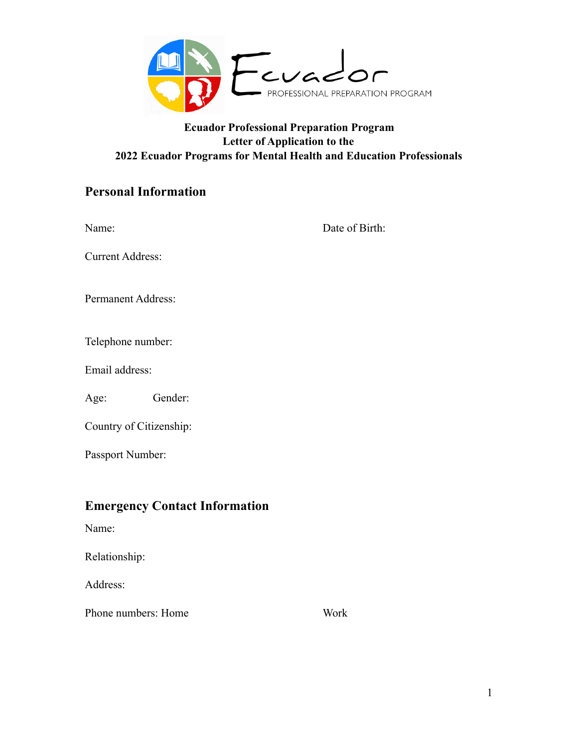

## **Ecuador Professional Preparation Program Letter of Application to the 2022 Ecuador Programs for Mental Health and Education Professionals**

# **Personal Information**

| Name:                     |         | Date of Birth: |
|---------------------------|---------|----------------|
| <b>Current Address:</b>   |         |                |
| <b>Permanent Address:</b> |         |                |
| Telephone number:         |         |                |
| Email address:            |         |                |
| Age:                      | Gender: |                |
| Country of Citizenship:   |         |                |
| Passport Number:          |         |                |
|                           |         |                |

# **Emergency Contact Information**

Name:

Relationship:

Address:

Phone numbers: Home Work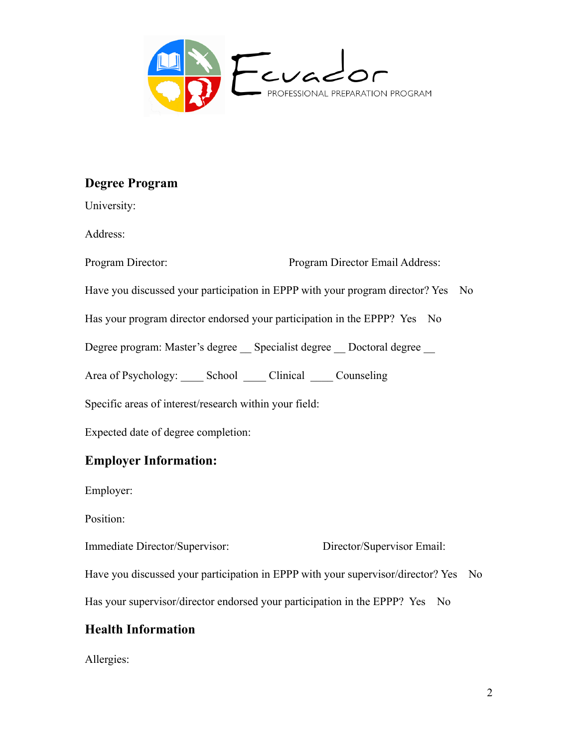

# **Degree Program**

University: Address: Program Director: Program Director Email Address: Have you discussed your participation in EPPP with your program director? Yes No Has your program director endorsed your participation in the EPPP? Yes No Degree program: Master's degree \_\_ Specialist degree \_\_ Doctoral degree Area of Psychology: \_\_\_\_\_ School \_\_\_\_\_ Clinical \_\_\_\_\_ Counseling Specific areas of interest/research within your field: Expected date of degree completion:

# **Employer Information:**

Employer:

Position:

Immediate Director/Supervisor: Director/Supervisor Email:

Have you discussed your participation in EPPP with your supervisor/director? Yes No

Has your supervisor/director endorsed your participation in the EPPP? Yes No

# **Health Information**

Allergies: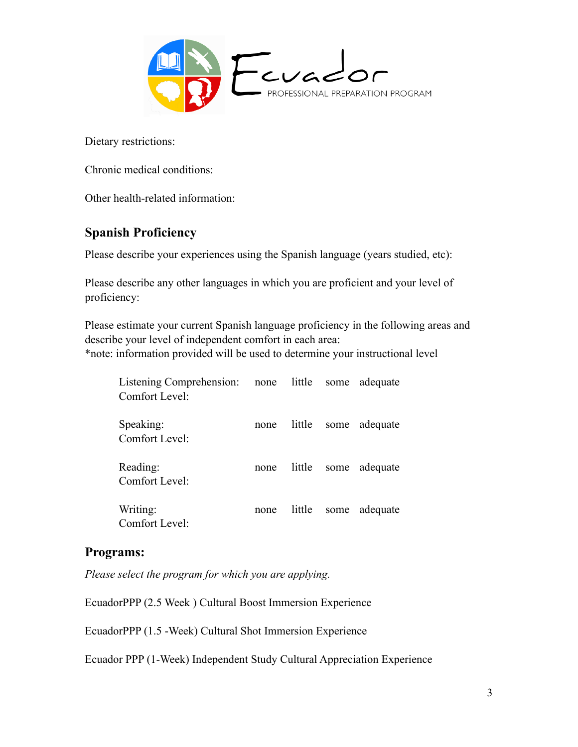

Dietary restrictions:

Chronic medical conditions:

Other health-related information:

## **Spanish Proficiency**

Please describe your experiences using the Spanish language (years studied, etc):

Please describe any other languages in which you are proficient and your level of proficiency:

Please estimate your current Spanish language proficiency in the following areas and describe your level of independent comfort in each area:

\*note: information provided will be used to determine your instructional level

| Listening Comprehension: none little<br>Comfort Level: |      |        | some | adequate |
|--------------------------------------------------------|------|--------|------|----------|
| Speaking:<br>Comfort Level:                            | none | little | some | adequate |
| Reading:<br>Comfort Level:                             | none | little | some | adequate |
| Writing:<br>Comfort Level:                             | none | little | some | adequate |

## **Programs:**

*Please select the program for which you are applying.* 

EcuadorPPP (2.5 Week ) Cultural Boost Immersion Experience

EcuadorPPP (1.5 -Week) Cultural Shot Immersion Experience

Ecuador PPP (1-Week) Independent Study Cultural Appreciation Experience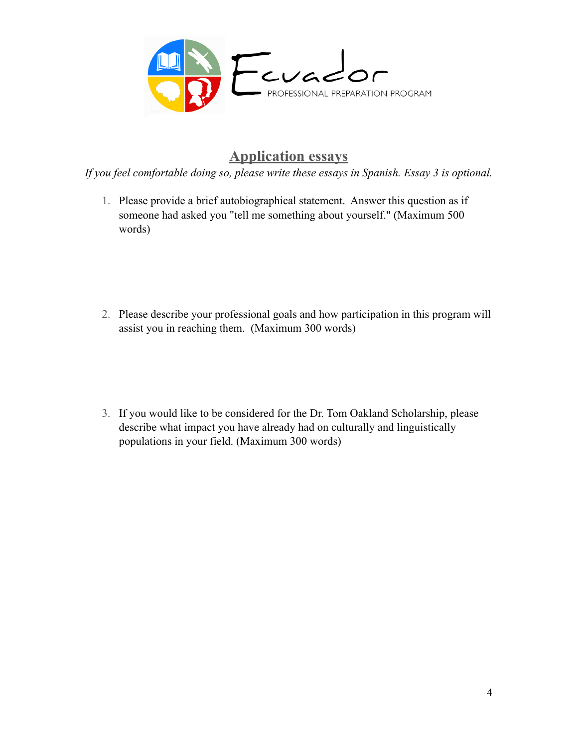

# **Application essays**

*If you feel comfortable doing so, please write these essays in Spanish. Essay 3 is optional.* 

- 1. Please provide a brief autobiographical statement. Answer this question as if someone had asked you "tell me something about yourself." (Maximum 500 words)
- 2. Please describe your professional goals and how participation in this program will assist you in reaching them. (Maximum 300 words)
- 3. If you would like to be considered for the Dr. Tom Oakland Scholarship, please describe what impact you have already had on culturally and linguistically populations in your field. (Maximum 300 words)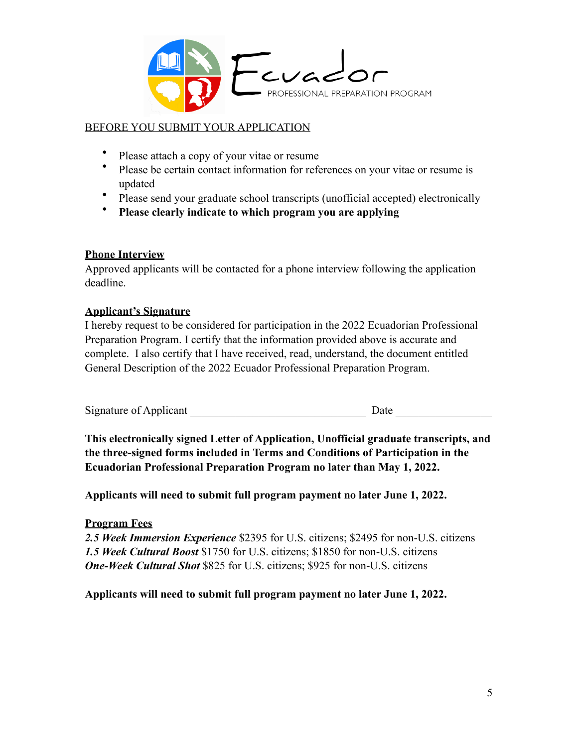

## BEFORE YOU SUBMIT YOUR APPLICATION

- Please attach a copy of your vitae or resume
- Please be certain contact information for references on your vitae or resume is updated
- Please send your graduate school transcripts (unofficial accepted) electronically
- **Please clearly indicate to which program you are applying**

### **Phone Interview**

Approved applicants will be contacted for a phone interview following the application deadline.

### **Applicant's Signature**

I hereby request to be considered for participation in the 2022 Ecuadorian Professional Preparation Program. I certify that the information provided above is accurate and complete. I also certify that I have received, read, understand, the document entitled General Description of the 2022 Ecuador Professional Preparation Program.

Signature of Applicant the Date and Date and Date and Date and Date and Date and Date and Date and Date and Date and Date and Date and Date and Date and Date and Date and Date and Date and Date and Date and Date and Date a

**This electronically signed Letter of Application, Unofficial graduate transcripts, and the three-signed forms included in Terms and Conditions of Participation in the Ecuadorian Professional Preparation Program no later than May 1, 2022.** 

**Applicants will need to submit full program payment no later June 1, 2022.** 

### **Program Fees**

*2.5 Week Immersion Experience* \$2395 for U.S. citizens; \$2495 for non-U.S. citizens *1.5 Week Cultural Boost* \$1750 for U.S. citizens; \$1850 for non-U.S. citizens *One-Week Cultural Shot* \$825 for U.S. citizens; \$925 for non-U.S. citizens

**Applicants will need to submit full program payment no later June 1, 2022.**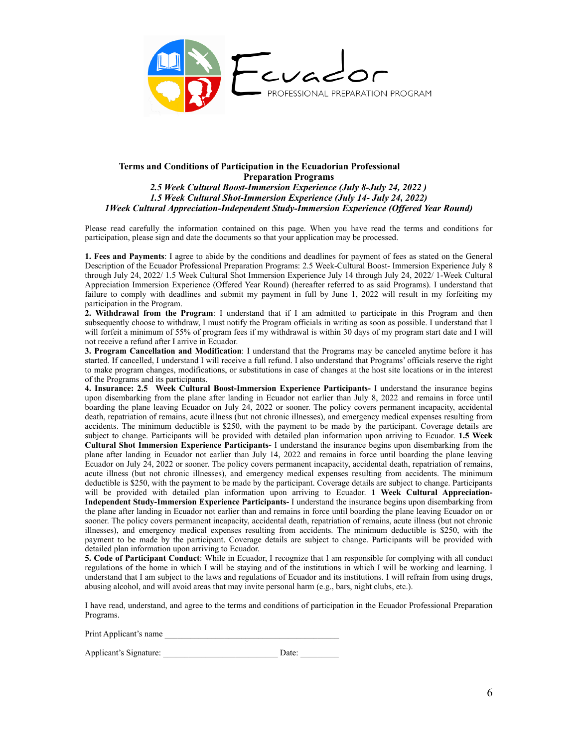

#### **Terms and Conditions of Participation in the Ecuadorian Professional Preparation Programs**  *2.5 Week Cultural Boost-Immersion Experience (July 8-July 24, 2022 ) 1.5 Week Cultural Shot-Immersion Experience (July 14- July 24, 2022) 1Week Cultural Appreciation-Independent Study-Immersion Experience (Offered Year Round)*

Please read carefully the information contained on this page. When you have read the terms and conditions for participation, please sign and date the documents so that your application may be processed.

**1. Fees and Payments**: I agree to abide by the conditions and deadlines for payment of fees as stated on the General Description of the Ecuador Professional Preparation Programs: 2.5 Week-Cultural Boost- Immersion Experience July 8 through July 24, 2022/ 1.5 Week Cultural Shot Immersion Experience July 14 through July 24, 2022/ 1-Week Cultural Appreciation Immersion Experience (Offered Year Round) (hereafter referred to as said Programs). I understand that failure to comply with deadlines and submit my payment in full by June 1, 2022 will result in my forfeiting my participation in the Program.

**2. Withdrawal from the Program**: I understand that if I am admitted to participate in this Program and then subsequently choose to withdraw, I must notify the Program officials in writing as soon as possible. I understand that I will forfeit a minimum of 55% of program fees if my withdrawal is within 30 days of my program start date and I will not receive a refund after I arrive in Ecuador.

**3. Program Cancellation and Modification**: I understand that the Programs may be canceled anytime before it has started. If cancelled, I understand I will receive a full refund. I also understand that Programs' officials reserve the right to make program changes, modifications, or substitutions in case of changes at the host site locations or in the interest of the Programs and its participants.

**4. Insurance: 2.5 Week Cultural Boost-Immersion Experience Participants-** I understand the insurance begins upon disembarking from the plane after landing in Ecuador not earlier than July 8, 2022 and remains in force until boarding the plane leaving Ecuador on July 24, 2022 or sooner. The policy covers permanent incapacity, accidental death, repatriation of remains, acute illness (but not chronic illnesses), and emergency medical expenses resulting from accidents. The minimum deductible is \$250, with the payment to be made by the participant. Coverage details are subject to change. Participants will be provided with detailed plan information upon arriving to Ecuador. **1.5 Week Cultural Shot Immersion Experience Participants-** I understand the insurance begins upon disembarking from the plane after landing in Ecuador not earlier than July 14, 2022 and remains in force until boarding the plane leaving Ecuador on July 24, 2022 or sooner. The policy covers permanent incapacity, accidental death, repatriation of remains, acute illness (but not chronic illnesses), and emergency medical expenses resulting from accidents. The minimum deductible is \$250, with the payment to be made by the participant. Coverage details are subject to change. Participants will be provided with detailed plan information upon arriving to Ecuador. **1 Week Cultural Appreciation-Independent Study-Immersion Experience Participants-** I understand the insurance begins upon disembarking from the plane after landing in Ecuador not earlier than and remains in force until boarding the plane leaving Ecuador on or sooner. The policy covers permanent incapacity, accidental death, repatriation of remains, acute illness (but not chronic illnesses), and emergency medical expenses resulting from accidents. The minimum deductible is \$250, with the payment to be made by the participant. Coverage details are subject to change. Participants will be provided with detailed plan information upon arriving to Ecuador.

**5. Code of Participant Conduct**: While in Ecuador, I recognize that I am responsible for complying with all conduct regulations of the home in which I will be staying and of the institutions in which I will be working and learning. I understand that I am subject to the laws and regulations of Ecuador and its institutions. I will refrain from using drugs, abusing alcohol, and will avoid areas that may invite personal harm (e.g., bars, night clubs, etc.).

I have read, understand, and agree to the terms and conditions of participation in the Ecuador Professional Preparation Programs.

| Print Applicant's name |  |
|------------------------|--|
|                        |  |

| Applicant's Signature: | Date: |
|------------------------|-------|
|                        |       |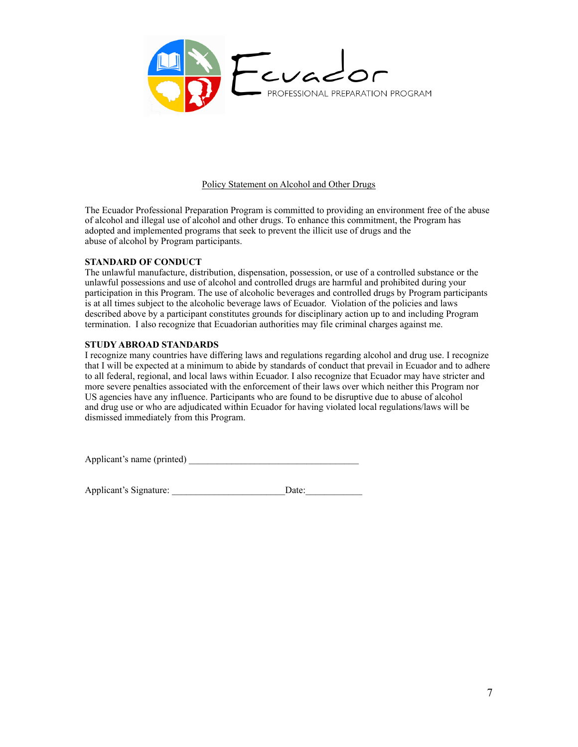

#### Policy Statement on Alcohol and Other Drugs

The Ecuador Professional Preparation Program is committed to providing an environment free of the abuse of alcohol and illegal use of alcohol and other drugs. To enhance this commitment, the Program has adopted and implemented programs that seek to prevent the illicit use of drugs and the abuse of alcohol by Program participants.

#### **STANDARD OF CONDUCT**

The unlawful manufacture, distribution, dispensation, possession, or use of a controlled substance or the unlawful possessions and use of alcohol and controlled drugs are harmful and prohibited during your participation in this Program. The use of alcoholic beverages and controlled drugs by Program participants is at all times subject to the alcoholic beverage laws of Ecuador. Violation of the policies and laws described above by a participant constitutes grounds for disciplinary action up to and including Program termination. I also recognize that Ecuadorian authorities may file criminal charges against me.

#### **STUDY ABROAD STANDARDS**

I recognize many countries have differing laws and regulations regarding alcohol and drug use. I recognize that I will be expected at a minimum to abide by standards of conduct that prevail in Ecuador and to adhere to all federal, regional, and local laws within Ecuador. I also recognize that Ecuador may have stricter and more severe penalties associated with the enforcement of their laws over which neither this Program nor US agencies have any influence. Participants who are found to be disruptive due to abuse of alcohol and drug use or who are adjudicated within Ecuador for having violated local regulations/laws will be dismissed immediately from this Program.

Applicant's name (printed)

Applicant's Signature: <br>
Date: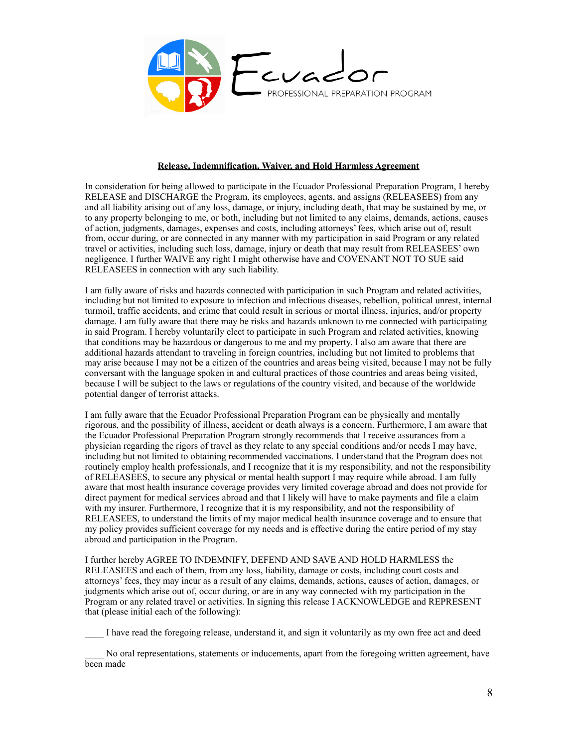

#### **Release, Indemnification, Waiver, and Hold Harmless Agreement**

In consideration for being allowed to participate in the Ecuador Professional Preparation Program, I hereby RELEASE and DISCHARGE the Program, its employees, agents, and assigns (RELEASEES) from any and all liability arising out of any loss, damage, or injury, including death, that may be sustained by me, or to any property belonging to me, or both, including but not limited to any claims, demands, actions, causes of action, judgments, damages, expenses and costs, including attorneys' fees, which arise out of, result from, occur during, or are connected in any manner with my participation in said Program or any related travel or activities, including such loss, damage, injury or death that may result from RELEASEES' own negligence. I further WAIVE any right I might otherwise have and COVENANT NOT TO SUE said RELEASEES in connection with any such liability.

I am fully aware of risks and hazards connected with participation in such Program and related activities, including but not limited to exposure to infection and infectious diseases, rebellion, political unrest, internal turmoil, traffic accidents, and crime that could result in serious or mortal illness, injuries, and/or property damage. I am fully aware that there may be risks and hazards unknown to me connected with participating in said Program. I hereby voluntarily elect to participate in such Program and related activities, knowing that conditions may be hazardous or dangerous to me and my property. I also am aware that there are additional hazards attendant to traveling in foreign countries, including but not limited to problems that may arise because I may not be a citizen of the countries and areas being visited, because I may not be fully conversant with the language spoken in and cultural practices of those countries and areas being visited, because I will be subject to the laws or regulations of the country visited, and because of the worldwide potential danger of terrorist attacks.

I am fully aware that the Ecuador Professional Preparation Program can be physically and mentally rigorous, and the possibility of illness, accident or death always is a concern. Furthermore, I am aware that the Ecuador Professional Preparation Program strongly recommends that I receive assurances from a physician regarding the rigors of travel as they relate to any special conditions and/or needs I may have, including but not limited to obtaining recommended vaccinations. I understand that the Program does not routinely employ health professionals, and I recognize that it is my responsibility, and not the responsibility of RELEASEES, to secure any physical or mental health support I may require while abroad. I am fully aware that most health insurance coverage provides very limited coverage abroad and does not provide for direct payment for medical services abroad and that I likely will have to make payments and file a claim with my insurer. Furthermore, I recognize that it is my responsibility, and not the responsibility of RELEASEES, to understand the limits of my major medical health insurance coverage and to ensure that my policy provides sufficient coverage for my needs and is effective during the entire period of my stay abroad and participation in the Program.

I further hereby AGREE TO INDEMNIFY, DEFEND AND SAVE AND HOLD HARMLESS the RELEASEES and each of them, from any loss, liability, damage or costs, including court costs and attorneys' fees, they may incur as a result of any claims, demands, actions, causes of action, damages, or judgments which arise out of, occur during, or are in any way connected with my participation in the Program or any related travel or activities. In signing this release I ACKNOWLEDGE and REPRESENT that (please initial each of the following):

\_\_\_\_ I have read the foregoing release, understand it, and sign it voluntarily as my own free act and deed

No oral representations, statements or inducements, apart from the foregoing written agreement, have been made